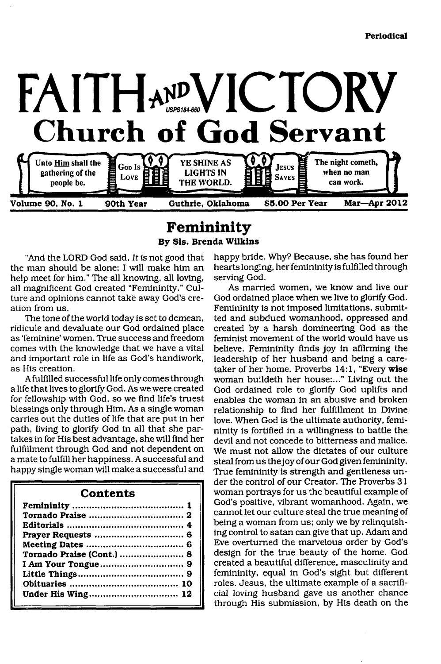

**Femininity By Sis. Brenda Wilkins**

"And the LORD God said, *It is* not good that<br>the man should be alone; I will make him an<br>help meet for him." The all knowing, all loving,<br>all magnificent God created "Femininity." Cul-<br>ture and opinions cannot take away G

as His creation.<br>A fulfilled successful life only comes through<br>a life that lives to glorify God. As we were created<br>for fellowship with God, so we find life's truest<br>blessings only through Him. As a single woman<br>carries o

#### **Contents**

| Tornado Praise (Cont.)  8 |  |
|---------------------------|--|
|                           |  |
|                           |  |
|                           |  |
|                           |  |
|                           |  |

happy bride. Why? Because, she has found her<br>hearts longing, her femininity is fulfilled through<br>serving God.<br>Serving the femininity is fulfilled through<br>serving God.<br>Temininity is nume the vero we live to glorify God.<br>Fem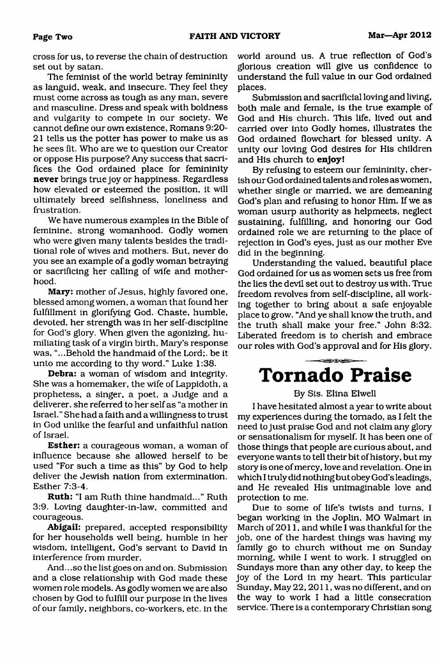cross for us, to reverse the chain of destruction<br>set out by satan.<br>The feminist of the world betray femininity<br>as languid, weak, and insecure. They feel they<br>must come across as tough as any man, severe<br>and masculine. Dre

mever brings true joy or happiness. Regardless<br>never brings true joy or happiness. Regardless<br>how elevated or esteemed the position, it will<br>ultimately breed selfishness, loneliness and<br>frustration. We have numerous examp

correlating datagities in faw, committed and<br>courageous.<br>**Abigail:** prepared, accepted responsibility<br>for her households well being, humble in her<br>wisdom, intelligent, God's servant to David in<br>interference from murder.<br>An

world around us. A true reflection of God's<br>glorious creation will give us confidence to<br>understand the full value in our God ordained<br>places.<br>Submission and sacrificial loving and living,<br>both male and female, is the true

## <del>≤≡</del>≳⊝∖∈≡≥ **Tornado Praise**

#### By Sis. Elina Elwell

I have hesitated almost a year to write about<br>my experiences during the tornado, as I felt the<br>need to just praise God and not claim any glory<br>or sensationalism for myself. It has been one of<br>those things that people are c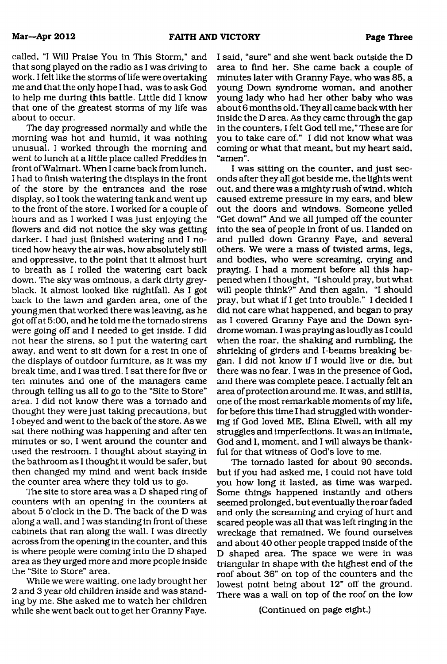called, "I Will Praise You in This Storm," and<br>that song played on the radio as l was chriving to the Talic associally<br>work. If eithice the storms of life were overtaking to<br>mean that the only hope that is as the assis chr

I said, "sure" and she went back outside the D<br>area to find her. She came back a coule of minutes later with Granny Paye, who was 85, a couple of<br>minutes later with Granny Paye, who was 85, a couple of<br>young lown symdome

#### (Continued on page eight.)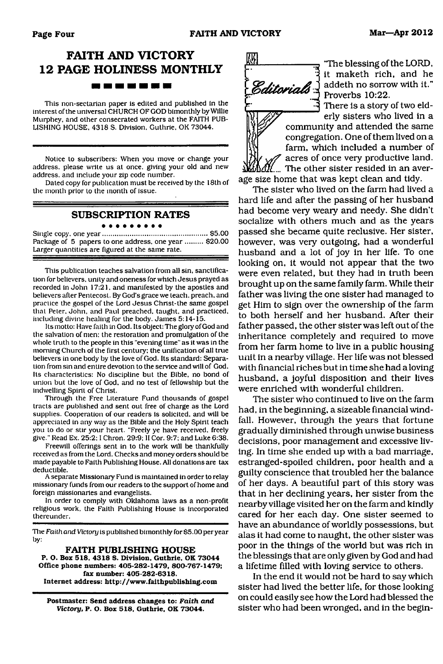## **FAITH AND VICTORY 12 PAGE HOLINESS MONTHLY** -------

This non-sectarian paper is edited and published in the interest of the universal CHURCH OF GOD bimonthly by Willie LISHING HOUSE, 4318 S. Division, Guthrie, OK 73044.

Notice to subscribers: When you move or change your address, please write us at once, giving your old and new address, and include your zip code number.

Dated copy for publication must be received by the 18th of the month prior to the month of issue.

## **SUBSCRIPTION RATES**

Single copy, one y e a r............................................................ \$5.00 Package of 5 papers to one address, one year .......... \$20.00

Larger quantities are figured at the same rate.

This publication teaches salvation from all sin, sanctification for believers, unity and oneness for which Jesus prayed as recorded in John 17:21. and manifested by the apostles and believers after Pentecost. By God's grace we teach, preach, and practice the gospel of the Lord Jesus Christ-the same gospel that Peter, John, and Paul preached, taught, and practiced, including divine healing for the body. James 5:14-15.<br>Its motto: Have faith in God. Its object: The glory of God and

the salvation of men: the restoration and promulgation of the whole truth to the people in this "evening time" as it was in the morning Church of the first century: the unification of all true believers in one body by the love of God. Its standard: Separation from sin and entire devotion to the service and will of God. union but the love of God, and no test of fellowship but the indwelling Spirit of Christ.

Through the Free Literature Fund thousands of gospel tracts are published and sent out free of charge as the Lord supplies. Cooperation of our readers is solicited, and will be appreciated in any way as the Bible and the Holy Spirit teach you to do or stir your heart. "Freely ye have received, freely give." Read Ex. 25:2; I Chron. 29:9; II Cor. 9:7; and Luke 6:38.

Freewill offerings sent in to the work will be thankfully received as from the Lord. Checks and money orders should be made payable to Faith Publishing House. All donations are tax<br>deductible.<br>A separate Missionary Fund is maintained in order to relay<br>missionary funds from our readers to the support of home and

foreign missionaries and evangelists.

In order to comply with Oklahoma laws as a non-profit religious work, the Faith Publishing House is incorporated thereunder.

The *Faith and Victory* is published bimonthly for \$5.00 per year by:

FAITH PUBLISHING HOUSE<br>P. O. Box 518, 4318 S. Division, Guthrie, OK 73044<br>Office phone numbers: 405-282-1479, 800-767-1479;<br>fax number: 405-282-6318.<br>Internet address: <http://www.faithpublishing.com>

**Postmaster: Send address changes to:** *Faith and Victory,* **P. O. Box 518, Guthrie, OK 73044.**



The blessing of the LORD,<br>
The blessing of the LORD,<br>
The maketh rich, and he<br>
if mechanic rich, and the mind he<br>
reverse 10:22.<br>
There is a story of two eld-<br>
community and attended the same<br>
compregation. One of them li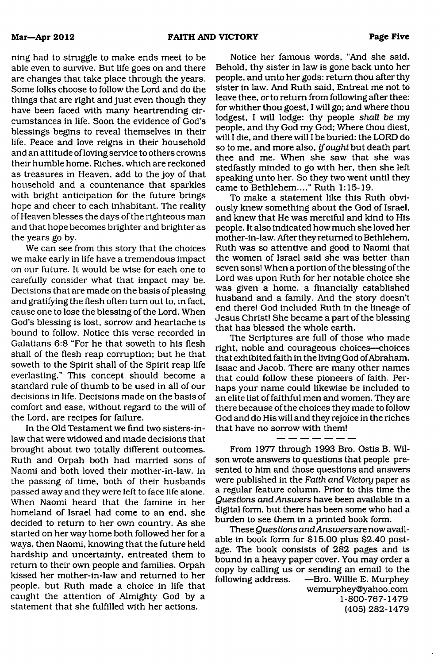**Mar—Apr 2012 FAITH AND VICTORY Page Five**

ning had to struggle to make ends meet to be<br>abe even to surve. But lift goes on and there are changes that take place through the years.<br>Some folks choose to follow the Lord and do the Some folks choose to follow the Lor

Notice her famous words, "And she said,<br>Behold, thy sister in law is gone back unto her people, and unto her gods: return thou differ thy sister in law. And Ruth said, Entreat me not to leave thee, or to return from follo

From 1977 through 1993 Bro. Ostis B. Wilson wrote answers to questions that people presented to him and those questions and answers were published in the *Faith and Victory* paper as a regular feature column. Prior to thi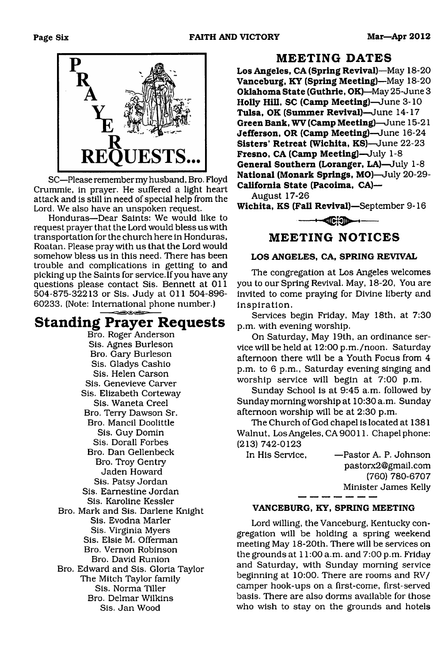

SC—Please remember my husband, Bro. Floyd<br>Crummie, in prayer. He suffered a light heart<br>attack and is still in need of special help from the<br>Lord. We also have an unspoken request.<br>Honduras—Dear Saints: We would like to<br>re

**Standing Prayer Requests**<br>
Bro. Roger Anderson<br>
Sis. Agnes Burleson<br>
Bro. Gary Burleson<br>
Sis. Gladys Cashio<br>
Sis. Elizabeth Cortevary<br>
Sis. Elizabeth Cortevary<br>
Sis. Waneta Creel<br>
Bro. Terry Dawson Sr.<br>
Bro. Mancil Doolit

**MEETING DATES**

Los Angeles, CA (Spring Revival)—May 18-20<br>Vanceburg, KY (Spring Meeting)—May 18-20<br>Oklahoma State (Guthrie, OK)—May 25-June 3<br>Holly Hill, SC (Camp Meeting)—June 3-10<br>Tulsa, OK (Summer Revival)—June 14-17<br>Green Bank, WV (C

 $\blacksquare$ 

## **MEETING NOTICES**

### **LOS ANGELES, CA, SPRING REVIVAL**

The congregation at Los Angeles welcomes you to our Spring Revival. May, 18-20, You are invited to come praying for Divine liberty and

in spiration.<br>Services begin Friday, May 18th, at 7:30<br>p.m. with evening worship.<br>On Saturday, May 19th, an ordinance service will be held at 12:00 p.m./noon. Saturday

afternoon there will be a Youth Focus from 4 p.m. to 6 p.m., Saturday evening singing and worship service will begin at 7:00 p.m. Sunday School is at 9:45 a.m. followed by Sunday morning worship at  $10:30$  a.m. Sunday

Sunday morning worship at 10:30 a.m. Sunday<br>afternoon worship will be at 2:30 p.m.<br>The Church of God chapel is located at 1381<br>Walnut, Los Angeles, CA 90011. Chapel phone:<br>(213) 742-0123<br>In His Service, —Pastor A. P. Johns

#### **VANCEBURG, KY, SPRING MEETING**

Lord willing, the Vanceburg, Kentucky con-<br>gregation will be holding a spring weekend<br>meeting May 18-20th. There will be services on<br>the grounds at 11:00 a.m. and 7:00 p.m. Friday<br>and Saturday, with Sunday morning service<br>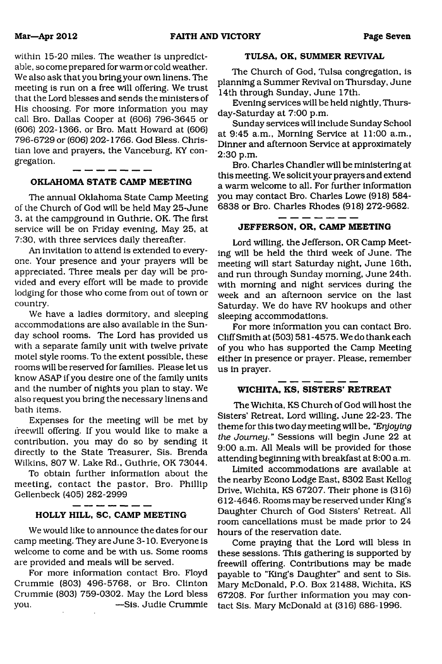within 15-20 miles. The weather is unpredictable, so come prepared for warm or cold weather.<br>We also ask that you bring your own linens. The<br>meeting is run on a free will offering. We trust<br>that the Lord blesses and sends tian love and prayers, the Vanceburg, KY con-<br>gregation.

#### **OKLAHOMA STATE CAMP MEETING**

The annual Oklahoma State Camp Meeting<br>of the Church of God will be held May 25-June<br>3, at the campground in Guthrie, OK. The first<br>service will be on Friday evening, May 25, at<br>7:30, with three services daily thereafter.<br>

becomity.<br>We have a ladies dormitory, and sleeping<br>accommodations are also available in the Sun-<br>day school rooms. The Lord has provided us<br>with a separate family unit with twelve private<br>motel style rooms. To the extent p

#### **HOLLY HILL, SC, CAMP MEETING**

We would like to announce the dates for our<br>camp meeting. They are June 3-10. Everyone is<br>welcome to come and be with us. Some rooms<br>are provided and meals will be served.<br>For more information contact Bro. Floyd<br>Crummie (8

you. — Sis. Judie Crummie

#### **TULSA, OK, SUMMER REVIVAL**

The Church of God, Tulsa congregation, is<br>planning a Summer Revival on Thursday, June<br>14th through Sunday, June 17th.<br>Evening services will be held nightly, Thurs-<br>day-Saturday at 7:00 p.m.<br>Sunday services will include Sun

Bro. Charles Chandler will be ministering at<br>this meeting. We solicit your prayers and extend<br>a warm welcome to all. For further information<br>you may contact Bro. Charles Lowe (918) 584-<br>6838 or Bro. Charles Rhodes (918) 27

# **JEFFERSON, OR, CAMP MEETING**

Lord willing, the Jefferson, OR Camp Meet-<br>ing will be held the third week of June. The<br>meeting will start Saturday night, June 16th,<br>and run through Sunday morning, June 24th.<br>with morning and night services during the<br>we

either in presence or prayer. Please, remember<br>us in prayer.

#### **WICHITA, KS, SISTERS' RETREAT**

The Wichita, KS Church of God will host the<br>Sisters' Retreat, Lord willing, June 22-23. The<br>theme for this two day meeting will be, "*Enjoying*<br>the Journey." Sessions will begin June 22 at<br>9:00 a.m. All Meals will be provi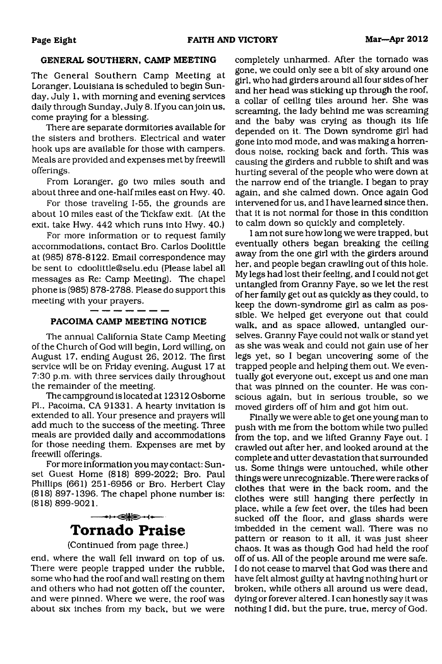#### **GENERAL SOUTHERN, CAMP MEETING**

The General Southern Camp Meeting at<br>Loranger, Louisiana is scheduled to begin Sun-<br>day, July 1, with morning and evening services<br>daily through Sunday, July 8. If you can join us,<br>come praying for a blessing.<br>There are se

Meals are provided and expenses met by freewill offerings. From Loranger, go two miles south and about three and one-half miles east on Hwy. 40.

For those traveling 1-55, the grounds are about 10 miles east of the Tickfaw exit. (At the exit, take Hwy. 442 which runs into Hwy. 40.) For more information or to request family

accommodations, contact Bro. Carlos Doolittle<br>at (985) 87[8-8122. Email corre](mailto:cdoolittle@selu.edu)spondence may<br>be sent to [cdoolittle@selu.edu](mailto:cdoolittle@selu.edu) (Please label all<br>messages [as Re: Camp Meetin](mailto:cdoolittle@selu.edu)g). The chapel<br>phone is (985) 878-2788. Please do suppor meeting with your prayers.

#### **PACOIMA CAMP MEETING NOTICE**

The annual California State Camp Meeting<br>of the Church of God will begin, Lord willing, on<br>August 17, ending August 26, 2012. The first<br>service will be on Friday evening, August 17 at<br>7:30 p.m. with three services daily th

## $\longrightarrow\Longleftrightarrow\rightarrow\rightarrow$ **Tornado Praise**

#### (Continued from page three.)

end, where the wall fell inward on top of us.<br>There were people trapped under the rubble,<br>some who had the roof and wall resting on them<br>and others who had not gotten off the counter,<br>and were pinned. Where we were, the ro

completely unharmed. After the tornado was<br>gore, we could only see a bit of sky around one sign, who had girders around all four sides of her a collar of celling tiles around in lens of a collar of celling this as to sky b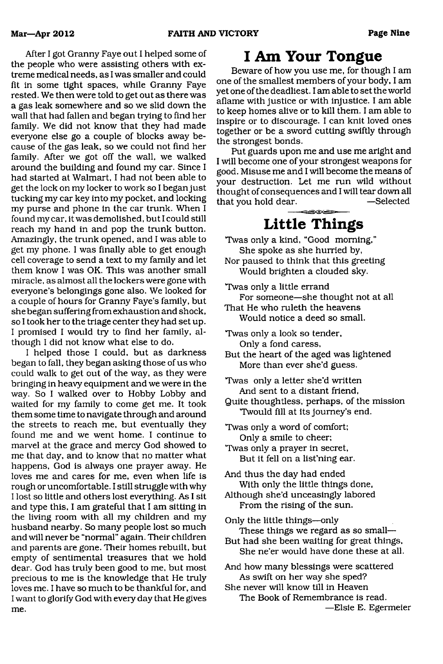After I got Granny Faye out I helped some of<br>the people who were assiting others with ex-<br>people who were assiting others with ex-<br>after treme medical needs, as it was smaller and could<br>dft in some tight spaces, while Gran

I want to glorify God with every day that He gives<br>me.

## **I Am Your Tongue**

Beware of how you use me, for though I am<br>one of the smallest members of your body, I am<br>yet one of the deadliest. I am able to set the world<br>aflame with justice or with injustice. I am able<br>to keep homes alive or to kill

# **Little Things**

- Twas only a kind, "Good morning," She spoke as she hurried by, Nor paused to think that this greeting Would brighten a clouded sky.
- 

Twas only a little errand<br>For someone—she thought not at all<br>That He who ruleth the heavens<br>Would notice a deed so small.

- 
- Twas only a look so tender,<br>Only a fond caress,<br>But the heart of the aged was lightened<br>More than ever she'd guess.

Twas only a letter she'd written And sent to a distant friend, Quite thoughtless, perhaps, of the mission Twould fill at its journey's end.

Twas only a word of comfort; Only a smile to cheer; 'Twas only a prayer in secret, But it fell on a list'ning ear.

And thus the day had ended With only the little things done, Although she'd unceasingly labored From the rising of the sun.

Only the little things—only These things we regard as so small— But had she been waiting for great things, She ne'er would have done these at all.

And how many blessings were scattered<br>As swift on her way she sped?<br>She never will know till in Heaven<br>The Book of Remembrance is read.<br>—Elsie E. Egermeier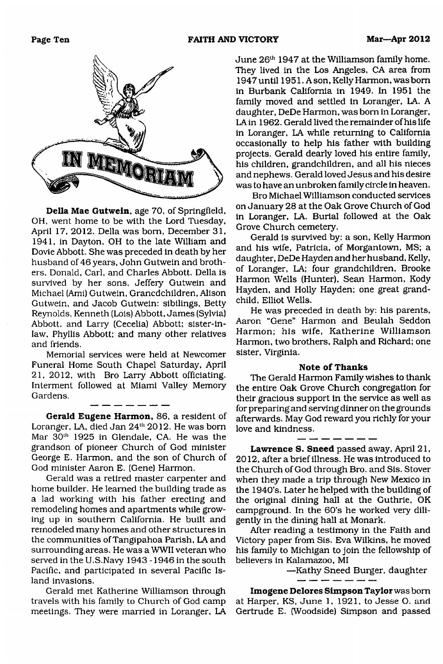

**Della Mae Gutwein**, age 70, of Springfield,<br>OH, went home to be with the Lord Tuesday,<br>April 17, 2012. Della was born, December 31,<br>1941, in Dayton, OH to the late William and<br>Dovie Abbott. She was preceded in death by he

**Gerald Eugene Harmon**, 86, a resident of Loranger, LA, died Jan  $24^{\text{th}}$  2012. He was born Mar  $30^{\text{th}}$  1925 in Glendale, CA. He was the grandson of pioneer Church of God minister George E. Harmon, and the son of Chu

June 26<sup>th</sup> 1947 at the Williamson family home.<br>They lived in the Los Angeles, CA area from<br>1947 until 1951. Ason, Kelly Harmon, was born<br>in Burbank California in 1949. In 1951 the<br>family moved and settled in Loranger, LA

Harmon, two brothers, Ralph and Richard; one<br>sister, Virginia.

**Note of Thanks**<br>The Gerald Harmon Family wishes to thank<br>the entire Oak Grove Church congregation for<br>their gracious support in the service as well as<br>for preparing and serving dinner on the grounds<br>afterwards. May God re

Lawrence S. Sneed passed away, April 21, 2012, after a brief illness. He was introduced to the Church of God through Bro. and Sis. Stover when they made a trip through New Mexico in the 1940's. Later he helped with the bu

**Imogene Delores Simpson Taylor** was bom at Harper, KS, June 1, 1921, to Jesse O. and Gertrude E. (Woodside) Simpson and passed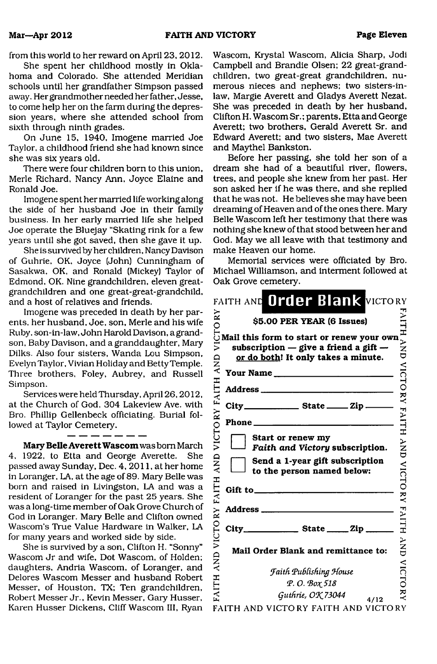from this world to her reward on April 23, 2012.<br>She spent her childhood mostly in Okla-<br>homa and Colorado. She atterded Meridian<br>dian-schools until her grandfather Simpson passed<br>away. Her grandmother needed her father. J

Mary Belle Averett Wascom was born March<br>4. 1922, to Etta and George Averette. She<br>passed away Sunday, Dec. 4, 2011, at her home<br>in Loranger, LA, at the age of 89. Mary Belle was<br>born and raised in Livingston, LA and was a

Wascom, Krystal Wascom, Alicia Sharp, Jodi<br>Campbell and Brandie Olsen; 22 great-grand-<br>children, two great-great grandchildren, nu-<br>merous nieces and nephews; two sisters-in-<br>law, Margie Averett and Gladys Averett Nezat.<br>S

|                       | FAITH AND Order Blank VICTORY                                                    |                      |
|-----------------------|----------------------------------------------------------------------------------|----------------------|
| $\mathbf{X}^{\prime}$ | \$5.00 PER YEAR (6 Issues)                                                       |                      |
| ミ<br>QNA              | subscription $-$ give a friend a gift $-$<br>or do both! It only takes a minute. | <b>TAILIAND</b>      |
|                       | Your Name                                                                        |                      |
|                       |                                                                                  |                      |
|                       |                                                                                  |                      |
|                       | Phone _____________                                                              | VICTORY FAITH        |
| VICTORY FAITH         | Start or renew my<br>Faith and Victory subscription.                             | }<br>UND             |
| $\frac{D}{\lambda}$   | Send a 1-year gift subscription<br>to the person named below:                    |                      |
| FAITH                 |                                                                                  | <b>VICTORY</b>       |
|                       |                                                                                  |                      |
|                       |                                                                                  | <b>FAITH</b>         |
| FAITH AND VICTORY     | Mail Order Blank and remittance to:                                              | <b>NND</b>           |
|                       | <b>Faith Publishing House</b>                                                    | <b>VICTO</b>         |
|                       | Р. О. Вох 518                                                                    |                      |
|                       | Guthrie, OK 73044<br>4/12                                                        | $\tilde{\mathbf{x}}$ |

FAITH AND VICTORY FAITH AND VICTORY